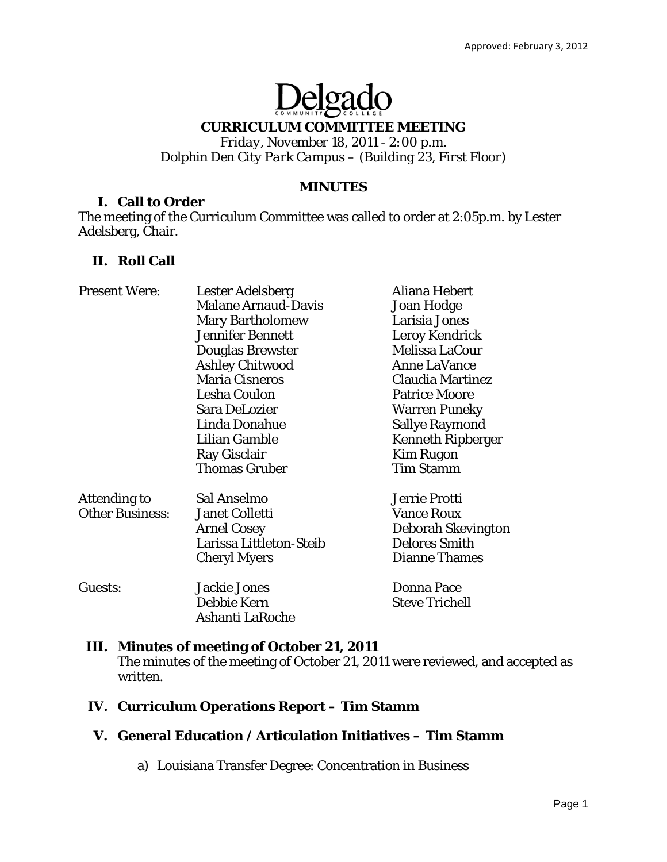# Delgado

## **CURRICULUM COMMITTEE MEETING**

*Friday, November 18, 2011 - 2:00 p.m. Dolphin Den City Park Campus – (Building 23, First Floor)* 

## **MINUTES**

#### **I. Call to Order**

The meeting of the Curriculum Committee was called to order at 2:05p.m. by Lester Adelsberg, Chair.

## **II. Roll Call**

| <b>Present Were:</b>   | <b>Lester Adelsberg</b>    | Aliana Hebert            |
|------------------------|----------------------------|--------------------------|
|                        | <b>Malane Arnaud-Davis</b> | Joan Hodge               |
|                        | <b>Mary Bartholomew</b>    | Larisia Jones            |
|                        | <b>Jennifer Bennett</b>    | Leroy Kendrick           |
|                        | <b>Douglas Brewster</b>    | Melissa LaCour           |
|                        | <b>Ashley Chitwood</b>     | <b>Anne LaVance</b>      |
|                        | <b>Maria Cisneros</b>      | <b>Claudia Martinez</b>  |
|                        | Lesha Coulon               | <b>Patrice Moore</b>     |
|                        | Sara DeLozier              | <b>Warren Puneky</b>     |
|                        | Linda Donahue              | <b>Sallye Raymond</b>    |
|                        | <b>Lilian Gamble</b>       | <b>Kenneth Ripberger</b> |
|                        | <b>Ray Gisclair</b>        | <b>Kim Rugon</b>         |
|                        | <b>Thomas Gruber</b>       | <b>Tim Stamm</b>         |
| <b>Attending to</b>    | Sal Anselmo                | Jerrie Protti            |
| <b>Other Business:</b> | <b>Janet Colletti</b>      | <b>Vance Roux</b>        |
|                        | <b>Arnel Cosey</b>         | Deborah Skevington       |
|                        | Larissa Littleton-Steib    | <b>Delores Smith</b>     |
|                        | <b>Cheryl Myers</b>        | <b>Dianne Thames</b>     |
| Guests:                | <b>Jackie Jones</b>        | <b>Donna Pace</b>        |
|                        | Debbie Kern                | <b>Steve Trichell</b>    |
|                        | Ashanti LaRoche            |                          |

## **III. Minutes of meeting of October 21, 2011**

The minutes of the meeting of October 21, 2011 were reviewed, and accepted as written.

## **IV. Curriculum Operations Report – Tim Stamm**

## **V. General Education / Articulation Initiatives – Tim Stamm**

a) Louisiana Transfer Degree: Concentration in Business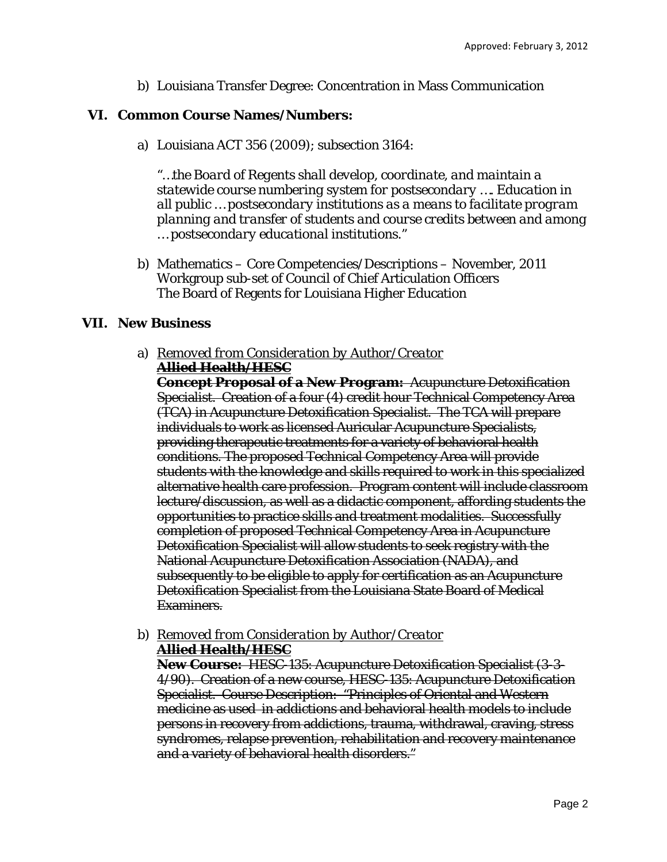b) Louisiana Transfer Degree: Concentration in Mass Communication

## **VI. Common Course Names/Numbers:**

a) Louisiana ACT 356 (2009); subsection 3164:

*"…the Board of Regents shall develop, coordinate, and maintain a statewide course numbering system for postsecondary …. Education in all public … postsecondary institutions as a means to facilitate program planning and transfer of students and course credits between and among … postsecondary educational institutions."* 

b) Mathematics – Core Competencies/Descriptions – November, 2011 Workgroup sub-set of Council of Chief Articulation Officers The Board of Regents for Louisiana Higher Education

## **VII. New Business**

a) *Removed from Consideration by Author/Creator* **Allied Health/HESC** 

**Concept Proposal of a New Program:** Acupuncture Detoxification Specialist. Creation of a four (4) credit hour Technical Competency Area (TCA) in Acupuncture Detoxification Specialist. The TCA will prepare individuals to work as licensed Auricular Acupuncture Specialists, providing therapeutic treatments for a variety of behavioral health conditions. The proposed Technical Competency Area will provide students with the knowledge and skills required to work in this specialized alternative health care profession. Program content will include classroom lecture/discussion, as well as a didactic component, affording students the opportunities to practice skills and treatment modalities. Successfully completion of proposed Technical Competency Area in Acupuncture Detoxification Specialist will allow students to seek registry with the National Acupuncture Detoxification Association (NADA), and subsequently to be eligible to apply for certification as an Acupuncture Detoxification Specialist from the Louisiana State Board of Medical Examiners.

b) *Removed from Consideration by Author/Creator*

**Allied Health/HESC** 

**New Course:** HESC-135: Acupuncture Detoxification Specialist (3-3- 4/90). Creation of a new course, HESC-135: Acupuncture Detoxification Specialist. Course Description: "Principles of Oriental and Western medicine as used in addictions and behavioral health models to include persons in recovery from addictions, trauma, withdrawal, craving, stress syndromes, relapse prevention, rehabilitation and recovery maintenance and a variety of behavioral health disorders."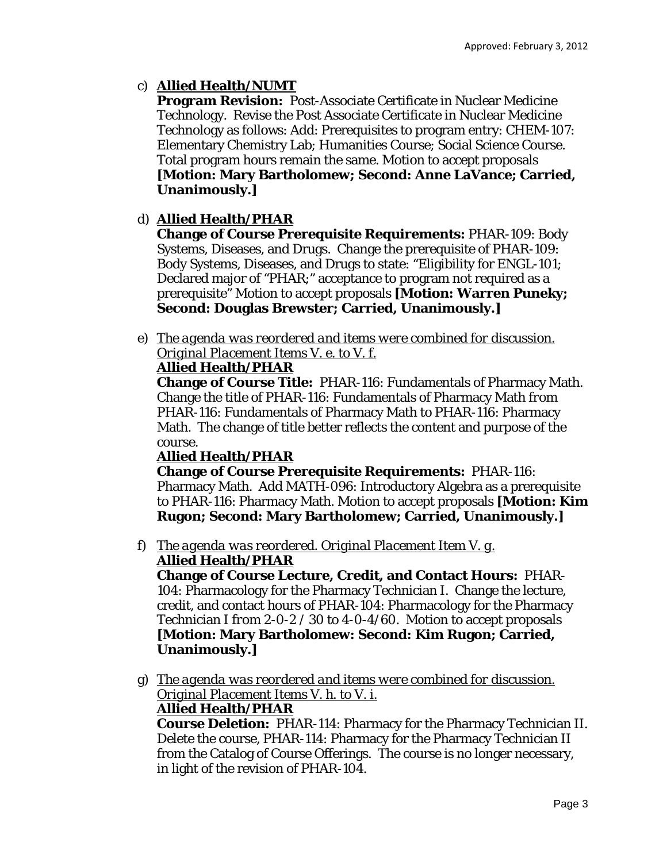# c) **Allied Health/NUMT**

**Program Revision:** Post-Associate Certificate in Nuclear Medicine Technology. Revise the Post Associate Certificate in Nuclear Medicine Technology as follows: Add: Prerequisites to program entry: CHEM-107: Elementary Chemistry Lab; Humanities Course; Social Science Course. Total program hours remain the same. Motion to accept proposals **[Motion: Mary Bartholomew; Second: Anne LaVance; Carried, Unanimously.]** 

# d) **Allied Health/PHAR**

**Change of Course Prerequisite Requirements:** PHAR-109: Body Systems, Diseases, and Drugs. Change the prerequisite of PHAR-109: Body Systems, Diseases, and Drugs to state: "Eligibility for ENGL-101; Declared major of "PHAR;" acceptance to program not required as a prerequisite" Motion to accept proposals **[Motion: Warren Puneky; Second: Douglas Brewster; Carried, Unanimously.]** 

e) *The agenda was reordered and items were combined for discussion. Original Placement Items V. e. to V. f.* 

# **Allied Health/PHAR**

**Change of Course Title:** PHAR-116: Fundamentals of Pharmacy Math. Change the title of PHAR-116: Fundamentals of Pharmacy Math *from* PHAR-116: Fundamentals of Pharmacy Math *to* PHAR-116: Pharmacy Math. The change of title better reflects the content and purpose of the course.

# **Allied Health/PHAR**

**Change of Course Prerequisite Requirements:** PHAR-116: Pharmacy Math. Add MATH-096: Introductory Algebra as a prerequisite to PHAR-116: Pharmacy Math. Motion to accept proposals **[Motion: Kim Rugon; Second: Mary Bartholomew; Carried, Unanimously.]** 

#### f) *The agenda was reordered. Original Placement Item V. g.* **Allied Health/PHAR**

**Change of Course Lecture, Credit, and Contact Hours:** PHAR-104: Pharmacology for the Pharmacy Technician I. Change the lecture, credit, and contact hours of PHAR-104: Pharmacology for the Pharmacy Technician I *from* 2-0-2 / 30 *to* 4-0-4/60. Motion to accept proposals **[Motion: Mary Bartholomew: Second: Kim Rugon; Carried, Unanimously.]**

g) *The agenda was reordered and items were combined for discussion. Original Placement Items V. h. to V. i.* 

# **Allied Health/PHAR**

**Course Deletion:** PHAR-114: Pharmacy for the Pharmacy Technician II. Delete the course, PHAR-114: Pharmacy for the Pharmacy Technician II from the Catalog of Course Offerings. The course is no longer necessary, in light of the revision of PHAR-104.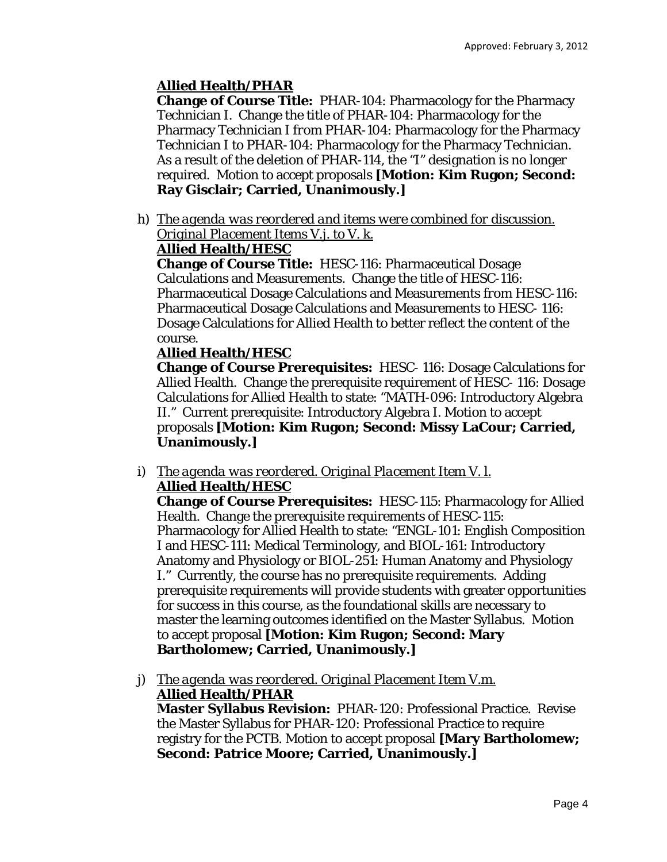# **Allied Health/PHAR**

**Change of Course Title:** PHAR-104: Pharmacology for the Pharmacy Technician I. Change the title of PHAR-104: Pharmacology for the Pharmacy Technician I *from* PHAR-104: Pharmacology for the Pharmacy Technician I *to* PHAR-104: Pharmacology for the Pharmacy Technician. As a result of the deletion of PHAR-114, the "I" designation is no longer required. Motion to accept proposals **[Motion: Kim Rugon; Second: Ray Gisclair; Carried, Unanimously.]** 

h) *The agenda was reordered and items were combined for discussion. Original Placement Items V.j. to V. k.* 

# **Allied Health/HESC**

**Change of Course Title:** HESC-116: Pharmaceutical Dosage Calculations and Measurements. Change the title of HESC-116: Pharmaceutical Dosage Calculations and Measurements *from* HESC-116: Pharmaceutical Dosage Calculations and Measurements *to* HESC- 116: Dosage Calculations for Allied Health to better reflect the content of the course.

# **Allied Health/HESC**

**Change of Course Prerequisites:** HESC- 116: Dosage Calculations for Allied Health. Change the prerequisite requirement of HESC- 116: Dosage Calculations for Allied Health to state: "MATH-096: Introductory Algebra II." Current prerequisite: Introductory Algebra I. Motion to accept proposals **[Motion: Kim Rugon; Second: Missy LaCour; Carried, Unanimously.]** 

i) *The agenda was reordered. Original Placement Item V. l.*  **Allied Health/HESC** 

**Change of Course Prerequisites:** HESC-115: Pharmacology for Allied Health. Change the prerequisite requirements of HESC-115: Pharmacology for Allied Health to state: "ENGL-101: English Composition I and HESC-111: Medical Terminology, and BIOL-161: Introductory Anatomy and Physiology or BIOL-251: Human Anatomy and Physiology I." Currently, the course has no prerequisite requirements. Adding prerequisite requirements will provide students with greater opportunities for success in this course, as the foundational skills are necessary to master the learning outcomes identified on the Master Syllabus. Motion to accept proposal **[Motion: Kim Rugon; Second: Mary Bartholomew; Carried, Unanimously.]** 

j) *The agenda was reordered. Original Placement Item V.m.*  **Allied Health/PHAR** 

**Master Syllabus Revision:** PHAR-120: Professional Practice. Revise the Master Syllabus for PHAR-120: Professional Practice to require registry for the PCTB. Motion to accept proposal **[Mary Bartholomew; Second: Patrice Moore; Carried, Unanimously.]**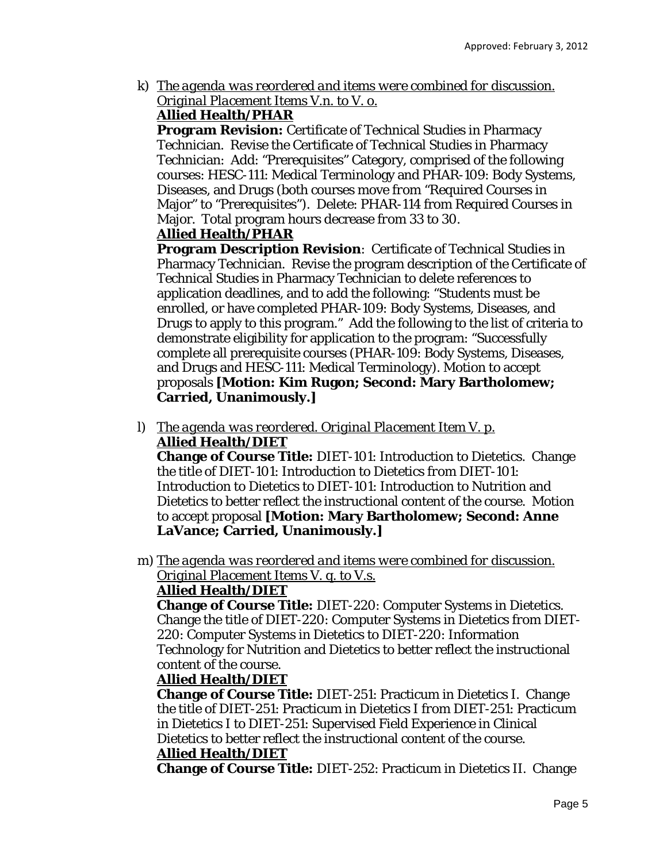k) *The agenda was reordered and items were combined for discussion. Original Placement Items V.n. to V. o.* 

# **Allied Health/PHAR**

**Program Revision:** Certificate of Technical Studies in Pharmacy Technician. Revise the Certificate of Technical Studies in Pharmacy Technician: Add: "Prerequisites" Category, comprised of the following courses: HESC-111: Medical Terminology and PHAR-109: Body Systems, Diseases, and Drugs (both courses move *from* "Required Courses in Major" *to* "Prerequisites"). Delete: PHAR-114 from Required Courses in Major. Total program hours decrease *from* 33 *to* 30.

# **Allied Health/PHAR**

**Program Description Revision**: Certificate of Technical Studies in Pharmacy Technician. Revise the program description of the Certificate of Technical Studies in Pharmacy Technician to delete references to application deadlines, and to add the following: "Students must be enrolled, or have completed PHAR-109: Body Systems, Diseases, and Drugs to apply to this program." Add the following to the list of criteria to demonstrate eligibility for application to the program: "Successfully complete all prerequisite courses (PHAR-109: Body Systems, Diseases, and Drugs and HESC-111: Medical Terminology). Motion to accept proposals **[Motion: Kim Rugon; Second: Mary Bartholomew; Carried, Unanimously.]** 

l) *The agenda was reordered. Original Placement Item V. p.*  **Allied Health/DIET** 

**Change of Course Title:** DIET-101: Introduction to Dietetics. Change the title of DIET-101: Introduction to Dietetics *from* DIET-101: Introduction to Dietetics *to* DIET-101: Introduction to Nutrition and Dietetics to better reflect the instructional content of the course. Motion to accept proposal **[Motion: Mary Bartholomew; Second: Anne LaVance; Carried, Unanimously.]** 

m) *The agenda was reordered and items were combined for discussion. Original Placement Items V. q. to V.s.* 

# **Allied Health/DIET**

**Change of Course Title:** DIET-220: Computer Systems in Dietetics. Change the title of DIET-220: Computer Systems in Dietetics *from* DIET-220: Computer Systems in Dietetics *to* DIET-220: Information Technology for Nutrition and Dietetics to better reflect the instructional content of the course.

# **Allied Health/DIET**

**Change of Course Title:** DIET-251: Practicum in Dietetics I. Change the title of DIET-251: Practicum in Dietetics I *from* DIET-251: Practicum in Dietetics I *to* DIET-251: Supervised Field Experience in Clinical Dietetics to better reflect the instructional content of the course. **Allied Health/DIET** 

**Change of Course Title:** DIET-252: Practicum in Dietetics II. Change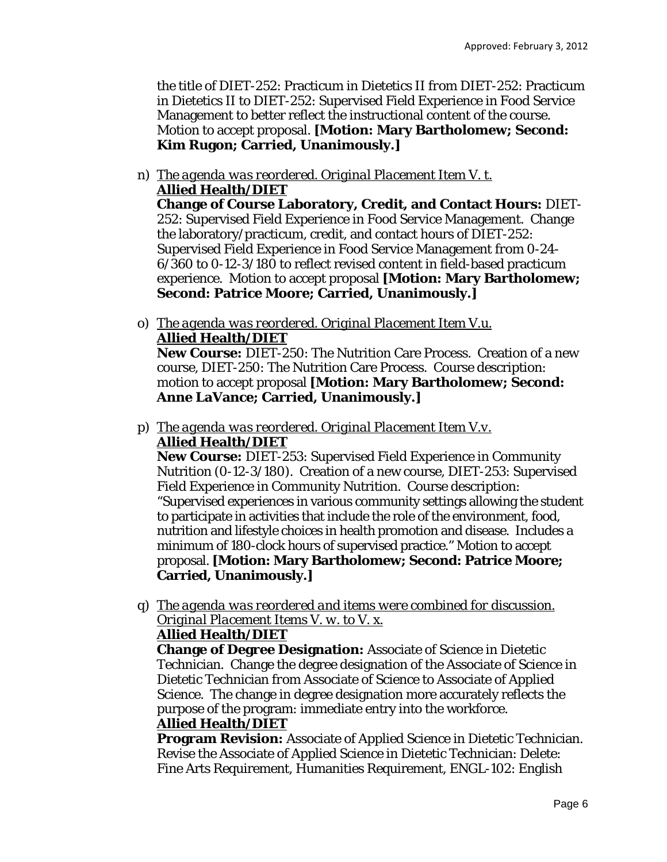the title of DIET-252: Practicum in Dietetics II *from* DIET-252: Practicum in Dietetics II *to* DIET-252: Supervised Field Experience in Food Service Management to better reflect the instructional content of the course. Motion to accept proposal. **[Motion: Mary Bartholomew; Second: Kim Rugon; Carried, Unanimously.]** 

n) *The agenda was reordered. Original Placement Item V. t.*  **Allied Health/DIET** 

**Change of Course Laboratory, Credit, and Contact Hours:** DIET-252: Supervised Field Experience in Food Service Management. Change the laboratory/practicum, credit, and contact hours of DIET-252: Supervised Field Experience in Food Service Management *from* 0-24- 6/360 *to* 0-12-3/180 to reflect revised content in field-based practicum experience. Motion to accept proposal **[Motion: Mary Bartholomew; Second: Patrice Moore; Carried, Unanimously.]** 

o) *The agenda was reordered. Original Placement Item V.u.*  **Allied Health/DIET** 

**New Course:** DIET-250: The Nutrition Care Process. Creation of a new course, DIET-250: The Nutrition Care Process. Course description: motion to accept proposal **[Motion: Mary Bartholomew; Second: Anne LaVance; Carried, Unanimously.]** 

p) *The agenda was reordered. Original Placement Item V.v.*  **Allied Health/DIET** 

**New Course:** DIET-253: Supervised Field Experience in Community Nutrition (0-12-3/180). Creation of a new course, DIET-253: Supervised Field Experience in Community Nutrition. Course description: "Supervised experiences in various community settings allowing the student to participate in activities that include the role of the environment, food, nutrition and lifestyle choices in health promotion and disease. Includes a minimum of 180-clock hours of supervised practice." Motion to accept proposal. **[Motion: Mary Bartholomew; Second: Patrice Moore; Carried, Unanimously.]** 

q) *The agenda was reordered and items were combined for discussion. Original Placement Items V. w. to V. x.* 

# **Allied Health/DIET**

**Change of Degree Designation:** Associate of Science in Dietetic Technician. Change the degree designation of the Associate of Science in Dietetic Technician *from* Associate of Science *to* Associate of Applied Science. The change in degree designation more accurately reflects the purpose of the program: immediate entry into the workforce. **Allied Health/DIET** 

**Program Revision:** Associate of Applied Science in Dietetic Technician. Revise the Associate of Applied Science in Dietetic Technician: Delete: Fine Arts Requirement, Humanities Requirement, ENGL-102: English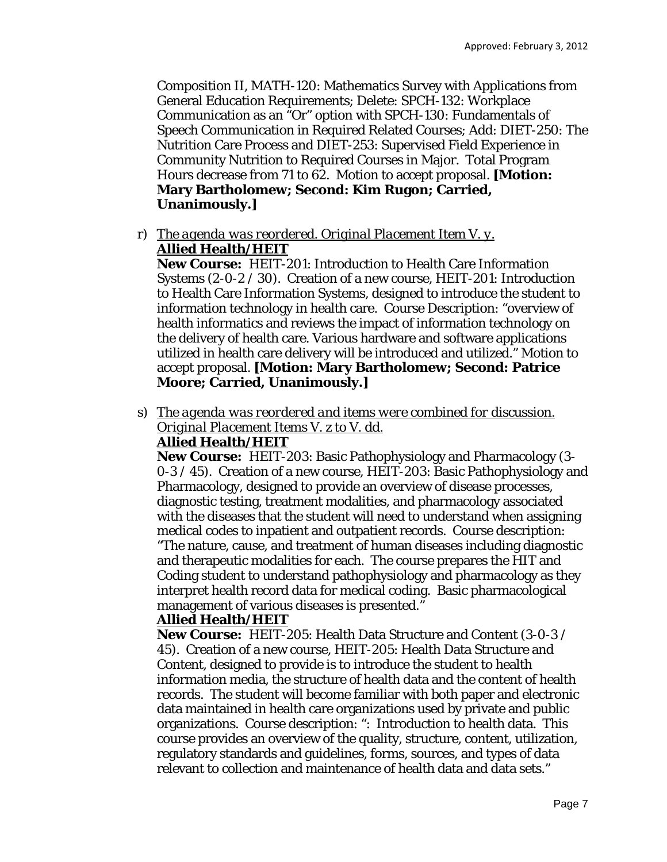Composition II, MATH-120: Mathematics Survey with Applications from General Education Requirements; Delete: SPCH-132: Workplace Communication as an "Or" option with SPCH-130: Fundamentals of Speech Communication in Required Related Courses; Add: DIET-250: The Nutrition Care Process and DIET-253: Supervised Field Experience in Community Nutrition to Required Courses in Major. Total Program Hours decrease *from* 71 *to* 62. Motion to accept proposal. **[Motion: Mary Bartholomew; Second: Kim Rugon; Carried, Unanimously.]** 

r) *The agenda was reordered. Original Placement Item V. y.*  **Allied Health/HEIT** 

**New Course:** HEIT-201: Introduction to Health Care Information Systems (2-0-2 / 30). Creation of a new course, HEIT-201: Introduction to Health Care Information Systems, designed to introduce the student to information technology in health care. Course Description: "overview of health informatics and reviews the impact of information technology on the delivery of health care. Various hardware and software applications utilized in health care delivery will be introduced and utilized." Motion to accept proposal. **[Motion: Mary Bartholomew; Second: Patrice Moore; Carried, Unanimously.]** 

s) *The agenda was reordered and items were combined for discussion. Original Placement Items V. z to V. dd.* 

#### **Allied Health/HEIT**

**New Course:** HEIT-203: Basic Pathophysiology and Pharmacology (3- 0-3 / 45). Creation of a new course, HEIT-203: Basic Pathophysiology and Pharmacology, designed to provide an overview of disease processes, diagnostic testing, treatment modalities, and pharmacology associated with the diseases that the student will need to understand when assigning medical codes to inpatient and outpatient records. Course description: "The nature, cause, and treatment of human diseases including diagnostic and therapeutic modalities for each. The course prepares the HIT and Coding student to understand pathophysiology and pharmacology as they interpret health record data for medical coding. Basic pharmacological management of various diseases is presented."

#### **Allied Health/HEIT**

**New Course:** HEIT-205: Health Data Structure and Content (3-0-3 / 45). Creation of a new course, HEIT-205: Health Data Structure and Content, designed to provide is to introduce the student to health information media, the structure of health data and the content of health records. The student will become familiar with both paper and electronic data maintained in health care organizations used by private and public organizations. Course description: ": Introduction to health data. This course provides an overview of the quality, structure, content, utilization, regulatory standards and guidelines, forms, sources, and types of data relevant to collection and maintenance of health data and data sets."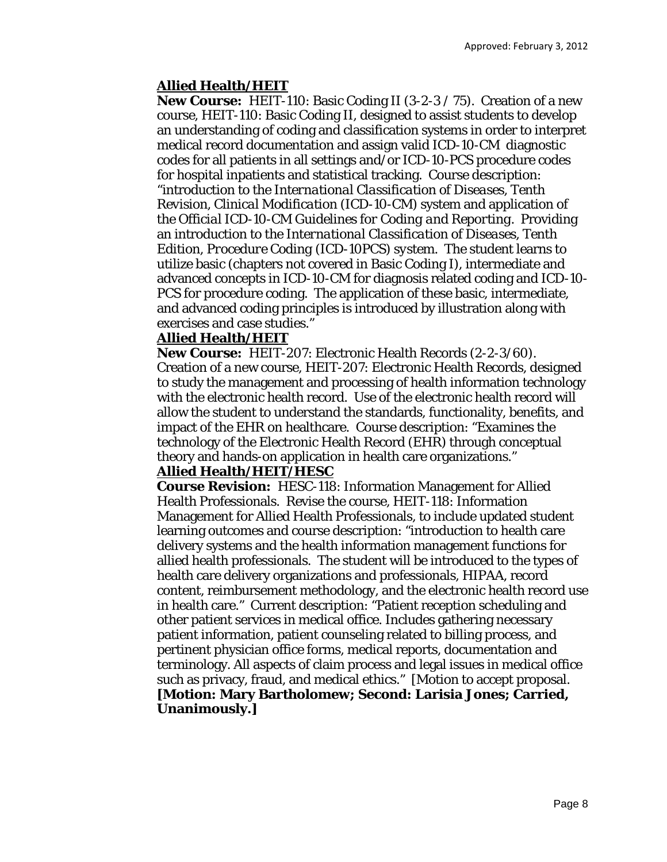## **Allied Health/HEIT**

**New Course:** HEIT-110: Basic Coding II (3-2-3 / 75). Creation of a new course, HEIT-110: Basic Coding II, designed to assist students to develop an understanding of coding and classification systems in order to interpret medical record documentation and assign valid ICD-10-CM diagnostic codes for all patients in all settings and/or ICD-10-PCS procedure codes for hospital inpatients and statistical tracking. Course description: "introduction to the *International Classification of Diseases, Tenth Revision, Clinical Modification* (ICD-10-CM) system and application of the *Official ICD-10-CM Guidelines for Coding and Reporting.* Providing an introduction to the *International Classification of Diseases, Tenth Edition, Procedure Coding (ICD-10PCS) system.* The student learns to utilize basic (chapters not covered in Basic Coding I), intermediate and advanced concepts in ICD-10-CM for diagnosis related coding and ICD-10- PCS for procedure coding. The application of these basic, intermediate, and advanced coding principles is introduced by illustration along with exercises and case studies."

#### **Allied Health/HEIT**

**New Course:** HEIT-207: Electronic Health Records (2-2-3/60). Creation of a new course, HEIT-207: Electronic Health Records, designed to study the management and processing of health information technology with the electronic health record. Use of the electronic health record will allow the student to understand the standards, functionality, benefits, and impact of the EHR on healthcare. Course description: "Examines the technology of the Electronic Health Record (EHR) through conceptual theory and hands-on application in health care organizations."

#### **Allied Health/HEIT/HESC**

**Course Revision:** HESC-118: Information Management for Allied Health Professionals. Revise the course, HEIT-118: Information Management for Allied Health Professionals, to include updated student learning outcomes and course description: "introduction to health care delivery systems and the health information management functions for allied health professionals. The student will be introduced to the types of health care delivery organizations and professionals, HIPAA, record content, reimbursement methodology, and the electronic health record use in health care." Current description: "Patient reception scheduling and other patient services in medical office. Includes gathering necessary patient information, patient counseling related to billing process, and pertinent physician office forms, medical reports, documentation and terminology. All aspects of claim process and legal issues in medical office such as privacy, fraud, and medical ethics." [Motion to accept proposal. **[Motion: Mary Bartholomew; Second: Larisia Jones; Carried, Unanimously.]**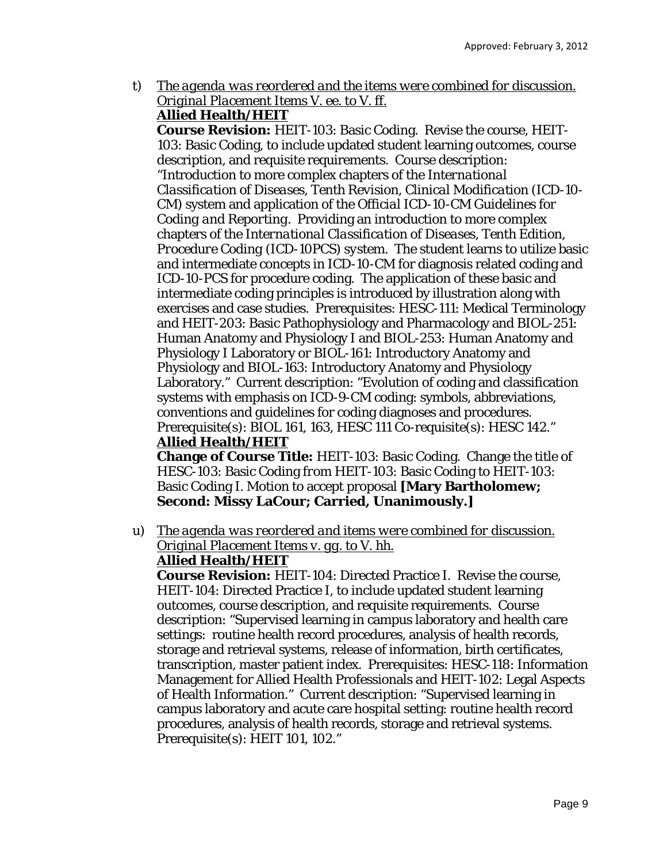t) *The agenda was reordered and the items were combined for discussion. Original Placement Items V. ee. to V. ff.*  **Allied Health/HEIT** 

**Course Revision:** HEIT-103: Basic Coding. Revise the course, HEIT-103: Basic Coding, to include updated student learning outcomes, course description, and requisite requirements. Course description: "Introduction to more complex chapters of the *International Classification of Diseases, Tenth Revision, Clinical Modification* (ICD-10- CM) system and application of the *Official ICD-10-CM Guidelines for Coding and Reporting.* Providing an introduction to more complex chapters of the *International Classification of Diseases, Tenth Edition, Procedure Coding (ICD-10PCS) system.* The student learns to utilize basic and intermediate concepts in ICD-10-CM for diagnosis related coding and ICD-10-PCS for procedure coding. The application of these basic and intermediate coding principles is introduced by illustration along with exercises and case studies. Prerequisites: HESC-111: Medical Terminology and HEIT-203: Basic Pathophysiology and Pharmacology and BIOL-251: Human Anatomy and Physiology I and BIOL-253: Human Anatomy and Physiology I Laboratory or BIOL-161: Introductory Anatomy and Physiology and BIOL-163: Introductory Anatomy and Physiology Laboratory." Current description: "Evolution of coding and classification systems with emphasis on ICD-9-CM coding: symbols, abbreviations, conventions and guidelines for coding diagnoses and procedures. Prerequisite(s): BIOL 161, 163, HESC 111 Co-requisite(s): HESC 142." **Allied Health/HEIT** 

**Change of Course Title:** HEIT-103: Basic Coding. Change the title of HESC-103: Basic Coding *from* HEIT-103: Basic Coding *to* HEIT-103: Basic Coding I. Motion to accept proposal **[Mary Bartholomew; Second: Missy LaCour; Carried, Unanimously.]** 

u) *The agenda was reordered and items were combined for discussion. Original Placement Items v. gg. to V. hh.* 

## **Allied Health/HEIT**

**Course Revision:** HEIT-104: Directed Practice I. Revise the course, HEIT-104: Directed Practice I, to include updated student learning outcomes, course description, and requisite requirements. Course description: "Supervised learning in campus laboratory and health care settings: routine health record procedures, analysis of health records, storage and retrieval systems, release of information, birth certificates, transcription, master patient index. Prerequisites: HESC-118: Information Management for Allied Health Professionals and HEIT-102: Legal Aspects of Health Information." Current description: "Supervised learning in campus laboratory and acute care hospital setting: routine health record procedures, analysis of health records, storage and retrieval systems. Prerequisite(s): HEIT 101, 102."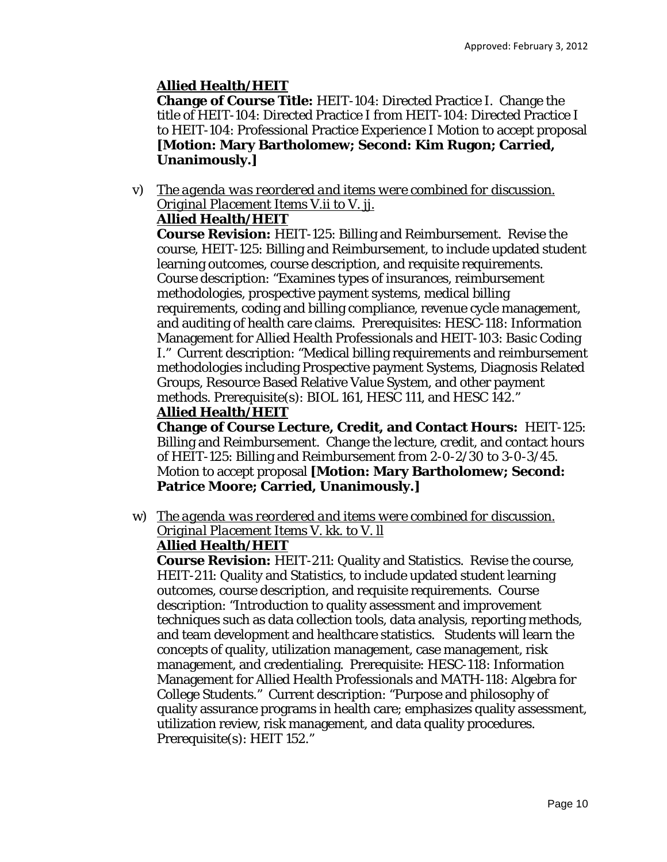# **Allied Health/HEIT**

**Change of Course Title:** HEIT-104: Directed Practice I. Change the title of HEIT-104: Directed Practice I *from* HEIT-104: Directed Practice I *to* HEIT-104: Professional Practice Experience I Motion to accept proposal **[Motion: Mary Bartholomew; Second: Kim Rugon; Carried, Unanimously.]** 

v) *The agenda was reordered and items were combined for discussion. Original Placement Items V.ii to V. jj.* 

# **Allied Health/HEIT**

**Course Revision:** HEIT-125: Billing and Reimbursement. Revise the course, HEIT-125: Billing and Reimbursement, to include updated student learning outcomes, course description, and requisite requirements. Course description: "Examines types of insurances, reimbursement methodologies, prospective payment systems, medical billing requirements, coding and billing compliance, revenue cycle management, and auditing of health care claims. Prerequisites: HESC-118: Information Management for Allied Health Professionals and HEIT-103: Basic Coding I." Current description: "Medical billing requirements and reimbursement methodologies including Prospective payment Systems, Diagnosis Related Groups, Resource Based Relative Value System, and other payment methods. Prerequisite(s): BIOL 161, HESC 111, and HESC 142."

## **Allied Health/HEIT**

**Change of Course Lecture, Credit, and Contact Hours:** HEIT-125: Billing and Reimbursement. Change the lecture, credit, and contact hours of HEIT-125: Billing and Reimbursement *from* 2-0-2/30 *to* 3-0-3/45. Motion to accept proposal **[Motion: Mary Bartholomew; Second: Patrice Moore; Carried, Unanimously.]** 

w) *The agenda was reordered and items were combined for discussion. Original Placement Items V. kk. to V. ll* 

# **Allied Health/HEIT**

**Course Revision:** HEIT-211: Quality and Statistics. Revise the course, HEIT-211: Quality and Statistics, to include updated student learning outcomes, course description, and requisite requirements. Course description: "Introduction to quality assessment and improvement techniques such as data collection tools, data analysis, reporting methods, and team development and healthcare statistics. Students will learn the concepts of quality, utilization management, case management, risk management, and credentialing. Prerequisite: HESC-118: Information Management for Allied Health Professionals and MATH-118: Algebra for College Students." Current description: "Purpose and philosophy of quality assurance programs in health care; emphasizes quality assessment, utilization review, risk management, and data quality procedures. Prerequisite(s): HEIT 152."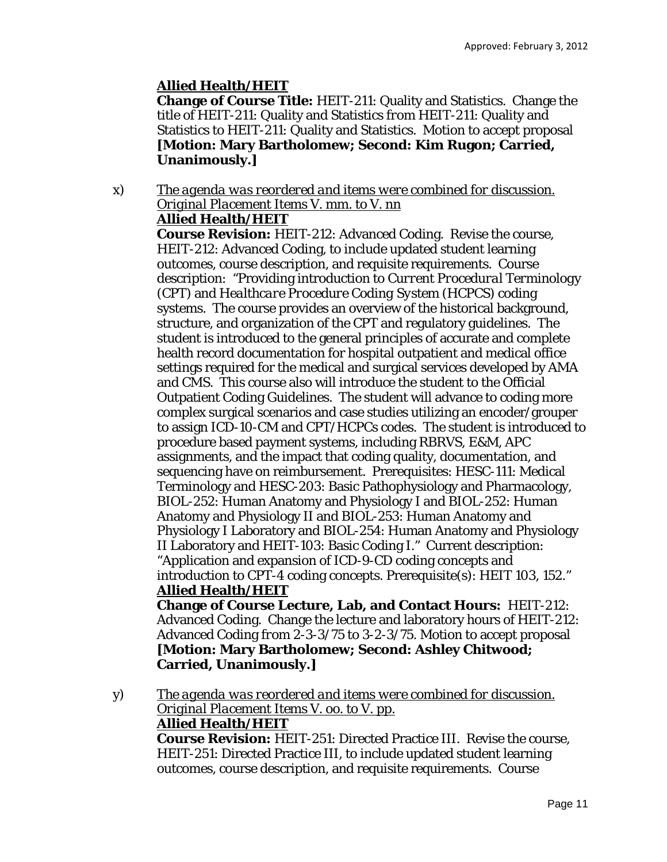# **Allied Health/HEIT**

**Change of Course Title:** HEIT-211: Quality and Statistics. Change the title of HEIT-211: Quality and Statistics *from* HEIT-211: Quality and Statistics *to* HEIT-211: Quality and Statistics. Motion to accept proposal **[Motion: Mary Bartholomew; Second: Kim Rugon; Carried, Unanimously.]** 

#### x) *The agenda was reordered and items were combined for discussion. Original Placement Items V. mm. to V. nn*  **Allied Health/HEIT**

**Course Revision:** HEIT-212: Advanced Coding. Revise the course, HEIT-212: Advanced Coding, to include updated student learning outcomes, course description, and requisite requirements. Course description: "Providing introduction to *Current Procedural Terminology* (CPT) and *Healthcare Procedure Coding System* (HCPCS) coding systems. The course provides an overview of the historical background, structure, and organization of the CPT and regulatory guidelines. The student is introduced to the general principles of accurate and complete health record documentation for hospital outpatient and medical office settings required for the medical and surgical services developed by AMA and CMS. This course also will introduce the student to the Official Outpatient Coding Guidelines. The student will advance to coding more complex surgical scenarios and case studies utilizing an encoder/grouper to assign ICD-10-CM and CPT/HCPCs codes. The student is introduced to procedure based payment systems, including RBRVS, E&M, APC assignments, and the impact that coding quality, documentation, and sequencing have on reimbursement. Prerequisites: HESC-111: Medical Terminology and HESC-203: Basic Pathophysiology and Pharmacology, BIOL-252: Human Anatomy and Physiology I and BIOL-252: Human Anatomy and Physiology II and BIOL-253: Human Anatomy and Physiology I Laboratory and BIOL-254: Human Anatomy and Physiology II Laboratory and HEIT-103: Basic Coding I." Current description: "Application and expansion of ICD-9-CD coding concepts and introduction to CPT-4 coding concepts. Prerequisite(s): HEIT 103, 152." **Allied Health/HEIT** 

**Change of Course Lecture, Lab, and Contact Hours:** HEIT-212: Advanced Coding. Change the lecture and laboratory hours of HEIT-212: Advanced Coding *from* 2-3-3/75 *to* 3-2-3/75. Motion to accept proposal **[Motion: Mary Bartholomew; Second: Ashley Chitwood; Carried, Unanimously.]** 

y) *The agenda was reordered and items were combined for discussion. Original Placement Items V. oo. to V. pp.*  **Allied Health/HEIT** 

**Course Revision:** HEIT-251: Directed Practice III. Revise the course, HEIT-251: Directed Practice III, to include updated student learning outcomes, course description, and requisite requirements. Course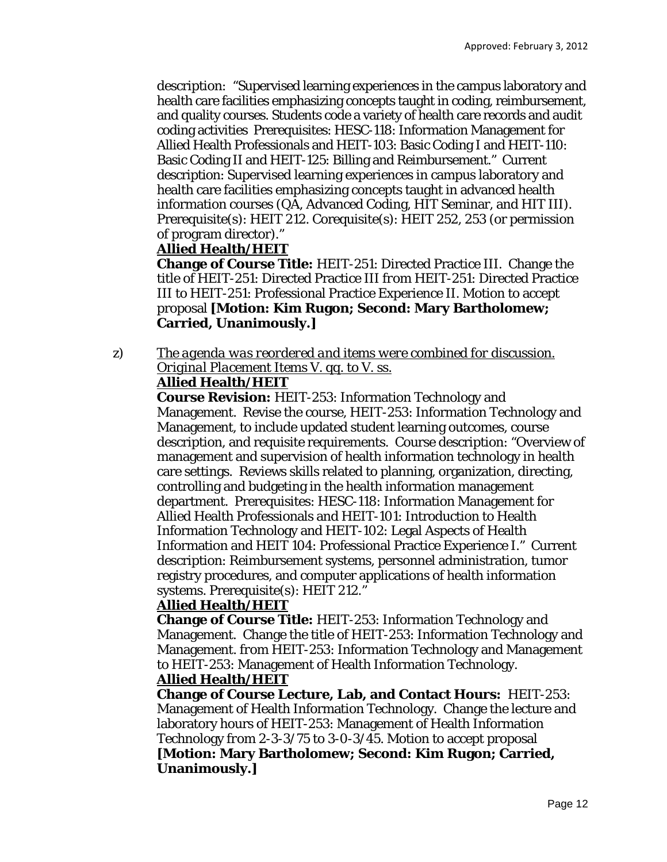description: "Supervised learning experiences in the campus laboratory and health care facilities emphasizing concepts taught in coding, reimbursement, and quality courses. Students code a variety of health care records and audit coding activities Prerequisites: HESC-118: Information Management for Allied Health Professionals and HEIT-103: Basic Coding I and HEIT-110: Basic Coding II and HEIT-125: Billing and Reimbursement." Current description: Supervised learning experiences in campus laboratory and health care facilities emphasizing concepts taught in advanced health information courses (QA, Advanced Coding, HIT Seminar, and HIT III). Prerequisite(s): HEIT 212. Corequisite(s): HEIT 252, 253 (or permission of program director)."

#### **Allied Health/HEIT**

**Change of Course Title:** HEIT-251: Directed Practice III. Change the title of HEIT-251: Directed Practice III *from* HEIT-251: Directed Practice III *to* HEIT-251: Professional Practice Experience II. Motion to accept proposal **[Motion: Kim Rugon; Second: Mary Bartholomew; Carried, Unanimously.]** 

#### z) *The agenda was reordered and items were combined for discussion. Original Placement Items V. qq. to V. ss.*  **Allied Health/HEIT**

**Course Revision:** HEIT-253: Information Technology and Management. Revise the course, HEIT-253: Information Technology and Management, to include updated student learning outcomes, course description, and requisite requirements. Course description: "Overview of management and supervision of health information technology in health care settings. Reviews skills related to planning, organization, directing, controlling and budgeting in the health information management department. Prerequisites: HESC-118: Information Management for Allied Health Professionals and HEIT-101: Introduction to Health Information Technology and HEIT-102: Legal Aspects of Health Information and HEIT 104: Professional Practice Experience I." Current description: Reimbursement systems, personnel administration, tumor registry procedures, and computer applications of health information systems. Prerequisite(s): HEIT 212."

#### **Allied Health/HEIT**

**Change of Course Title:** HEIT-253: Information Technology and Management. Change the title of HEIT-253: Information Technology and Management. *from* HEIT-253: Information Technology and Management *to* HEIT-253: Management of Health Information Technology.

## **Allied Health/HEIT**

**Change of Course Lecture, Lab, and Contact Hours:** HEIT-253: Management of Health Information Technology. Change the lecture and laboratory hours of HEIT-253: Management of Health Information Technology *from* 2-3-3/75 *to* 3-0-3/45. Motion to accept proposal **[Motion: Mary Bartholomew; Second: Kim Rugon; Carried, Unanimously.]**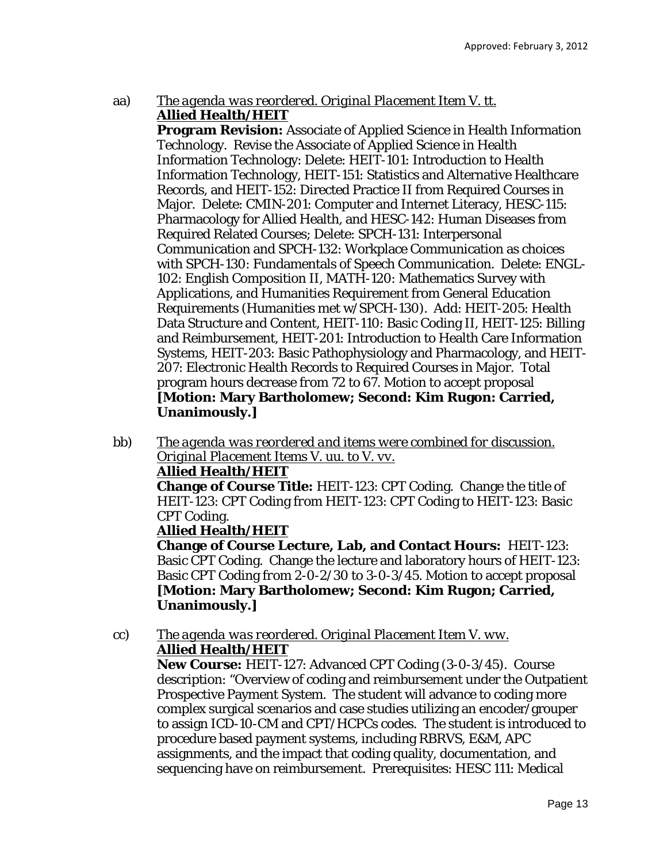## aa) *The agenda was reordered. Original Placement Item V. tt.*  **Allied Health/HEIT**

**Program Revision:** Associate of Applied Science in Health Information Technology. Revise the Associate of Applied Science in Health Information Technology: Delete: HEIT-101: Introduction to Health Information Technology, HEIT-151: Statistics and Alternative Healthcare Records, and HEIT-152: Directed Practice II from Required Courses in Major. Delete: CMIN-201: Computer and Internet Literacy, HESC-115: Pharmacology for Allied Health, and HESC-142: Human Diseases from Required Related Courses; Delete: SPCH-131: Interpersonal Communication and SPCH-132: Workplace Communication as choices with SPCH-130: Fundamentals of Speech Communication. Delete: ENGL-102: English Composition II, MATH-120: Mathematics Survey with Applications, and Humanities Requirement from General Education Requirements (Humanities met w/SPCH-130). Add: HEIT-205: Health Data Structure and Content, HEIT-110: Basic Coding II, HEIT-125: Billing and Reimbursement, HEIT-201: Introduction to Health Care Information Systems, HEIT-203: Basic Pathophysiology and Pharmacology, and HEIT-207: Electronic Health Records to Required Courses in Major. Total program hours decrease *from* 72 *to* 67. Motion to accept proposal **[Motion: Mary Bartholomew; Second: Kim Rugon: Carried, Unanimously.]**

bb) *The agenda was reordered and items were combined for discussion. Original Placement Items V. uu. to V. vv.* 

## **Allied Health/HEIT**

**Change of Course Title:** HEIT-123: CPT Coding. Change the title of HEIT-123: CPT Coding *from* HEIT-123: CPT Coding *to* HEIT-123: Basic CPT Coding.

## **Allied Health/HEIT**

**Change of Course Lecture, Lab, and Contact Hours:** HEIT-123: Basic CPT Coding. Change the lecture and laboratory hours of HEIT-123: Basic CPT Coding *from* 2-0-2/30 *to* 3-0-3/45. Motion to accept proposal **[Motion: Mary Bartholomew; Second: Kim Rugon; Carried, Unanimously.]** 

cc) *The agenda was reordered. Original Placement Item V. ww.*  **Allied Health/HEIT** 

**New Course:** HEIT-127: Advanced CPT Coding (3-0-3/45). Course description: "Overview of coding and reimbursement under the Outpatient Prospective Payment System. The student will advance to coding more complex surgical scenarios and case studies utilizing an encoder/grouper to assign ICD-10-CM and CPT/HCPCs codes. The student is introduced to procedure based payment systems, including RBRVS, E&M, APC assignments, and the impact that coding quality, documentation, and sequencing have on reimbursement. Prerequisites: HESC 111: Medical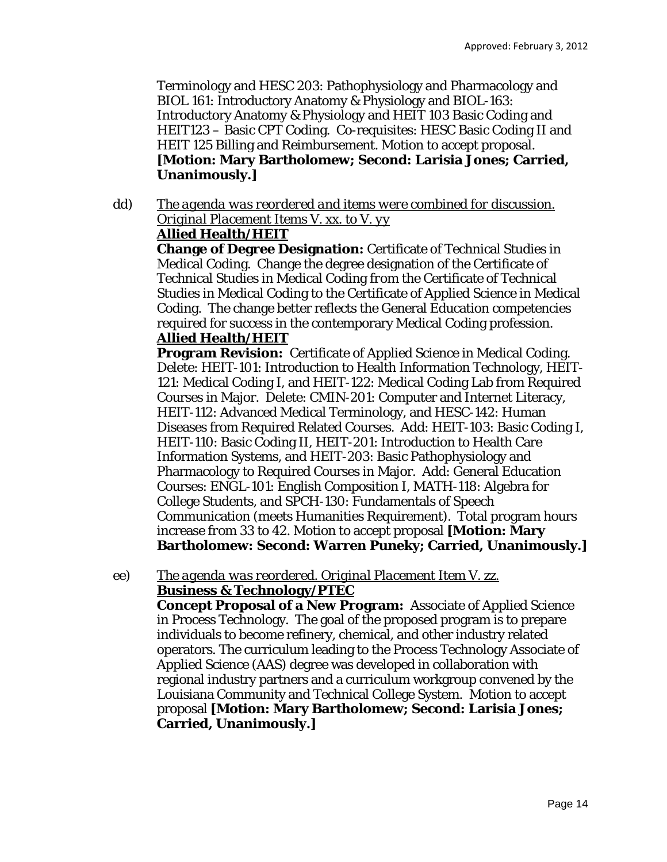Terminology and HESC 203: Pathophysiology and Pharmacology and BIOL 161: Introductory Anatomy & Physiology and BIOL-163: Introductory Anatomy & Physiology and HEIT 103 Basic Coding and HEIT123 – Basic CPT Coding. Co-requisites: HESC Basic Coding II and HEIT 125 Billing and Reimbursement. Motion to accept proposal. **[Motion: Mary Bartholomew; Second: Larisia Jones; Carried, Unanimously.]** 

dd) *The agenda was reordered and items were combined for discussion. Original Placement Items V. xx. to V. yy* 

## **Allied Health/HEIT**

**Change of Degree Designation:** Certificate of Technical Studies in Medical Coding. Change the degree designation of the Certificate of Technical Studies in Medical Coding *from* the Certificate of Technical Studies in Medical Coding *to* the Certificate of Applied Science in Medical Coding. The change better reflects the General Education competencies required for success in the contemporary Medical Coding profession.

# **Allied Health/HEIT**

**Program Revision:** Certificate of Applied Science in Medical Coding. Delete: HEIT-101: Introduction to Health Information Technology, HEIT-121: Medical Coding I, and HEIT-122: Medical Coding Lab from Required Courses in Major. Delete: CMIN-201: Computer and Internet Literacy, HEIT-112: Advanced Medical Terminology, and HESC-142: Human Diseases from Required Related Courses. Add: HEIT-103: Basic Coding I, HEIT-110: Basic Coding II, HEIT-201: Introduction to Health Care Information Systems, and HEIT-203: Basic Pathophysiology and Pharmacology to Required Courses in Major. Add: General Education Courses: ENGL-101: English Composition I, MATH-118: Algebra for College Students, and SPCH-130: Fundamentals of Speech Communication (meets Humanities Requirement). Total program hours increase *from* 33 *to* 42. Motion to accept proposal **[Motion: Mary Bartholomew: Second: Warren Puneky; Carried, Unanimously.]**

#### ee) *The agenda was reordered. Original Placement Item V. zz.*  **Business & Technology/PTEC**

**Concept Proposal of a New Program:** Associate of Applied Science in Process Technology. The goal of the proposed program is to prepare individuals to become refinery, chemical, and other industry related operators. The curriculum leading to the Process Technology Associate of Applied Science (AAS) degree was developed in collaboration with regional industry partners and a curriculum workgroup convened by the Louisiana Community and Technical College System. Motion to accept proposal **[Motion: Mary Bartholomew; Second: Larisia Jones; Carried, Unanimously.]**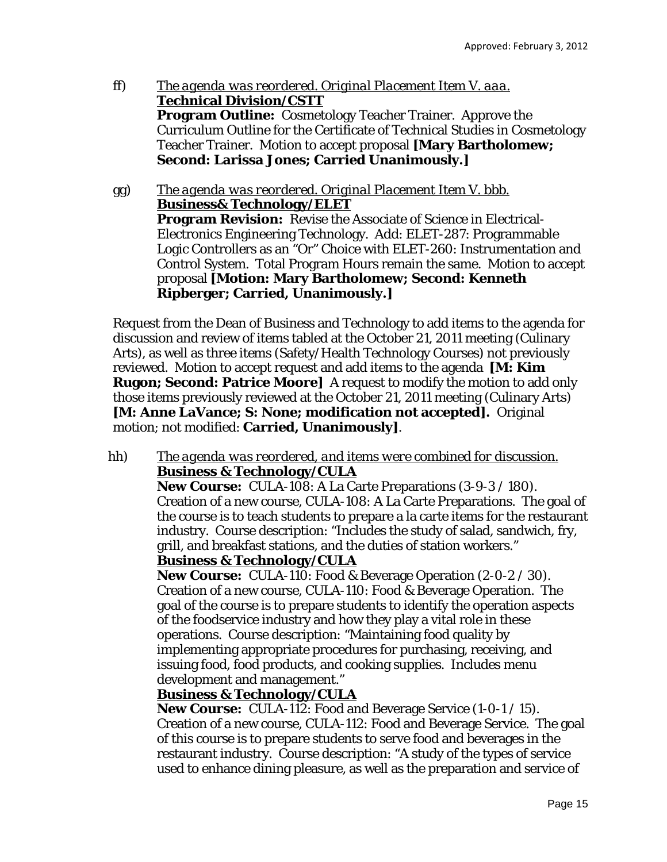- ff) *The agenda was reordered. Original Placement Item V. aaa.*  **Technical Division/CSTT Program Outline:** Cosmetology Teacher Trainer. Approve the Curriculum Outline for the Certificate of Technical Studies in Cosmetology Teacher Trainer. Motion to accept proposal **[Mary Bartholomew; Second: Larissa Jones; Carried Unanimously.]**
- gg) *The agenda was reordered. Original Placement Item V. bbb.*  **Business& Technology/ELET Program Revision:** Revise the Associate of Science in Electrical-Electronics Engineering Technology. Add: ELET-287: Programmable Logic Controllers as an "Or" Choice with ELET-260: Instrumentation and Control System. Total Program Hours remain the same. Motion to accept proposal **[Motion: Mary Bartholomew; Second: Kenneth Ripberger; Carried, Unanimously.]**

Request from the Dean of Business and Technology to add items to the agenda for discussion and review of items tabled at the October 21, 2011 meeting (Culinary Arts), as well as three items (Safety/Health Technology Courses) not previously reviewed. Motion to accept request and add items to the agenda **[M: Kim Rugon; Second: Patrice Moore]** A request to modify the motion to add only those items previously reviewed at the October 21, 2011 meeting (Culinary Arts) **[M: Anne LaVance; S: None; modification not accepted].** Original motion; not modified: **Carried, Unanimously]**.

hh) *The agenda was reordered, and items were combined for discussion.*  **Business & Technology/CULA** 

**New Course:** CULA-108: A La Carte Preparations (3-9-3 / 180). Creation of a new course, CULA-108: A La Carte Preparations. The goal of the course is to teach students to prepare a la carte items for the restaurant industry. Course description: "Includes the study of salad, sandwich, fry, grill, and breakfast stations, and the duties of station workers."

#### **Business & Technology/CULA**

**New Course:** CULA-110: Food & Beverage Operation (2-0-2 / 30). Creation of a new course, CULA-110: Food & Beverage Operation. The goal of the course is to prepare students to identify the operation aspects of the foodservice industry and how they play a vital role in these operations. Course description: "Maintaining food quality by implementing appropriate procedures for purchasing, receiving, and issuing food, food products, and cooking supplies. Includes menu development and management."

## **Business & Technology/CULA**

**New Course:** CULA-112: Food and Beverage Service (1-0-1 / 15). Creation of a new course, CULA-112: Food and Beverage Service. The goal of this course is to prepare students to serve food and beverages in the restaurant industry. Course description: "A study of the types of service used to enhance dining pleasure, as well as the preparation and service of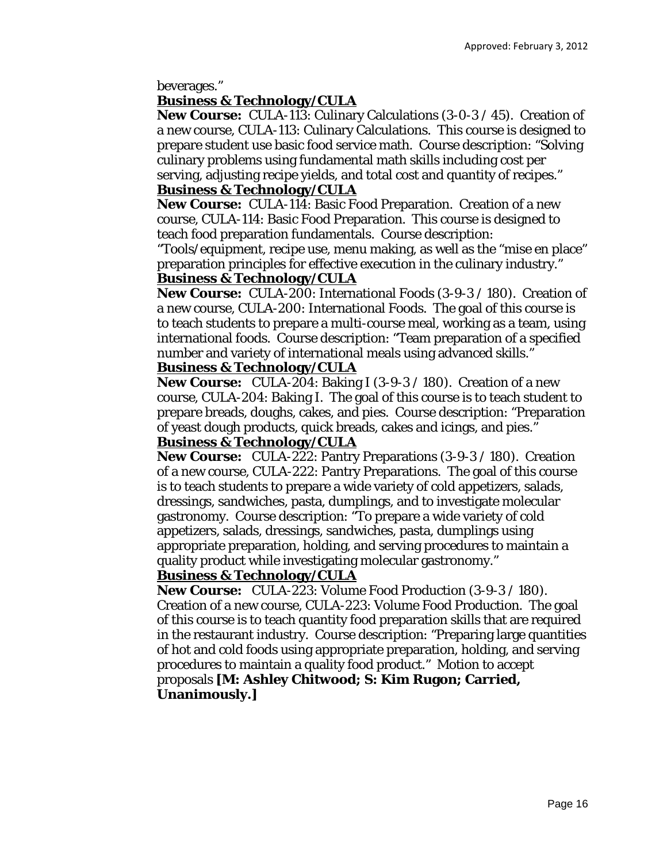beverages."

## **Business & Technology/CULA**

**New Course:** CULA-113: Culinary Calculations (3-0-3 / 45). Creation of a new course, CULA-113: Culinary Calculations. This course is designed to prepare student use basic food service math. Course description: "Solving culinary problems using fundamental math skills including cost per serving, adjusting recipe yields, and total cost and quantity of recipes."

## **Business & Technology/CULA**

**New Course:** CULA-114: Basic Food Preparation. Creation of a new course, CULA-114: Basic Food Preparation. This course is designed to teach food preparation fundamentals. Course description:

"Tools/equipment, recipe use, menu making, as well as the "mise en place" preparation principles for effective execution in the culinary industry."

## **Business & Technology/CULA**

**New Course:** CULA-200: International Foods (3-9-3 / 180). Creation of a new course, CULA-200: International Foods. The goal of this course is to teach students to prepare a multi-course meal, working as a team, using international foods. Course description: "Team preparation of a specified number and variety of international meals using advanced skills."

# **Business & Technology/CULA**

**New Course:** CULA-204: Baking I (3-9-3 / 180). Creation of a new course, CULA-204: Baking I. The goal of this course is to teach student to prepare breads, doughs, cakes, and pies. Course description: "Preparation of yeast dough products, quick breads, cakes and icings, and pies."

## **Business & Technology/CULA**

**New Course:** CULA-222: Pantry Preparations (3-9-3 / 180). Creation of a new course, CULA-222: Pantry Preparations. The goal of this course is to teach students to prepare a wide variety of cold appetizers, salads, dressings, sandwiches, pasta, dumplings, and to investigate molecular gastronomy. Course description: "To prepare a wide variety of cold appetizers, salads, dressings, sandwiches, pasta, dumplings using appropriate preparation, holding, and serving procedures to maintain a quality product while investigating molecular gastronomy."

## **Business & Technology/CULA**

**New Course:** CULA-223: Volume Food Production (3-9-3 / 180). Creation of a new course, CULA-223: Volume Food Production. The goal of this course is to teach quantity food preparation skills that are required in the restaurant industry. Course description: "Preparing large quantities of hot and cold foods using appropriate preparation, holding, and serving procedures to maintain a quality food product." Motion to accept proposals **[M: Ashley Chitwood; S: Kim Rugon; Carried, Unanimously.]**